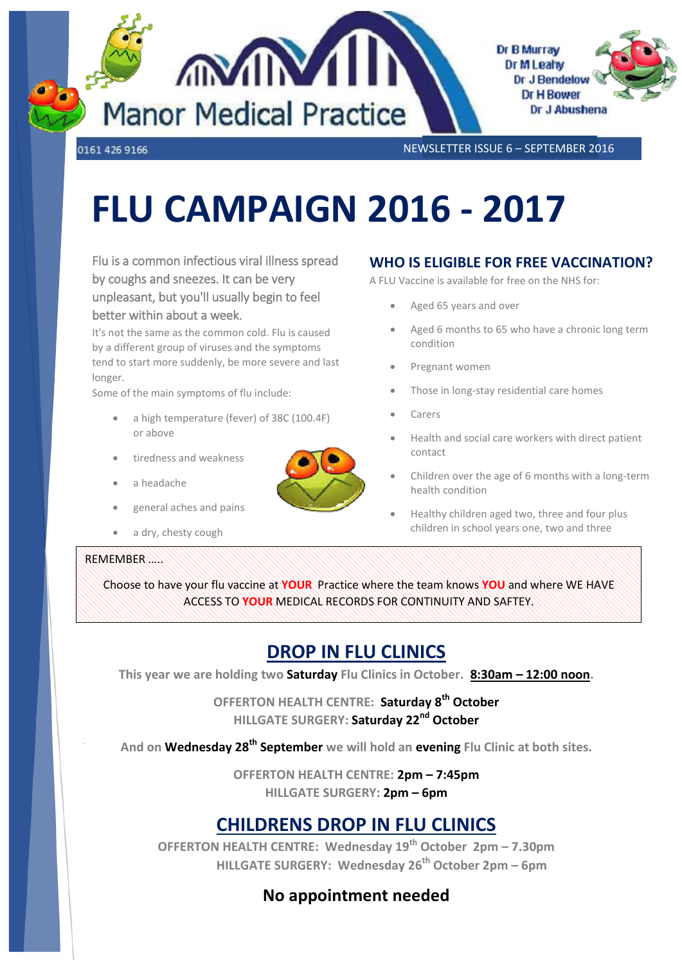

0161 426 9166

NEWSLETTER ISSUE 6 – SEPTEMBER 2016

# **FLU CAMPAIGN 2016 - 2017**

Flu is a common infectious viral illness spread by coughs and sneezes. It can be very unpleasant, but you'll usually begin to feel better within about a week.

It's not the same as the common cold. Flu is caused by a different group of viruses and the symptoms tend to start more suddenly, be more severe and last longer.

Some of the main symptoms of flu include:

- a high temperature (fever) of 38C (100.4F) or above
- tiredness and weakness
- a headache
- general aches and pains
- a dry, chesty cough

#### REMEMBER …..

## **WHO IS ELIGIBLE FOR FREE VACCINATION?**

A FLU Vaccine is available for free on the NHS for:

- Aged 65 years and over
- Aged 6 months to 65 who have a chronic long term condition
- Pregnant women
- Those in long-stay residential care homes
- Carers
- Health and social care workers with direct patient contact
- Children over the age of 6 months with a long-term health condition
- Healthy children aged two, three and four plus children in school years one, two and three

Choose to have your flu vaccine at **YOUR** Practice where the team knows **YOU** and where WE HAVE ACCESS TO **YOUR** MEDICAL RECORDS FOR CONTINUITY AND SAFTEY.

## **DROP IN FLU CLINICS**

**This year we are holding two Saturday Flu Clinics in October. 8:30am – 12:00 noon.**

**OFFERTON HEALTH CENTRE: Saturday 8th October HILLGATE SURGERY: Saturday 22nd October**

**And on Wednesday 28th September we will hold an evening Flu Clinic at both sites.**

**OFFERTON HEALTH CENTRE: 2pm – 7:45pm HILLGATE SURGERY: 2pm – 6pm**

## **CHILDRENS DROP IN FLU CLINICS**

**OFFERTON HEALTH CENTRE: Wednesday 19th October 2pm – 7.30pm HILLGATE SURGERY: Wednesday 26th October 2pm – 6pm**

## **No appointment needed**